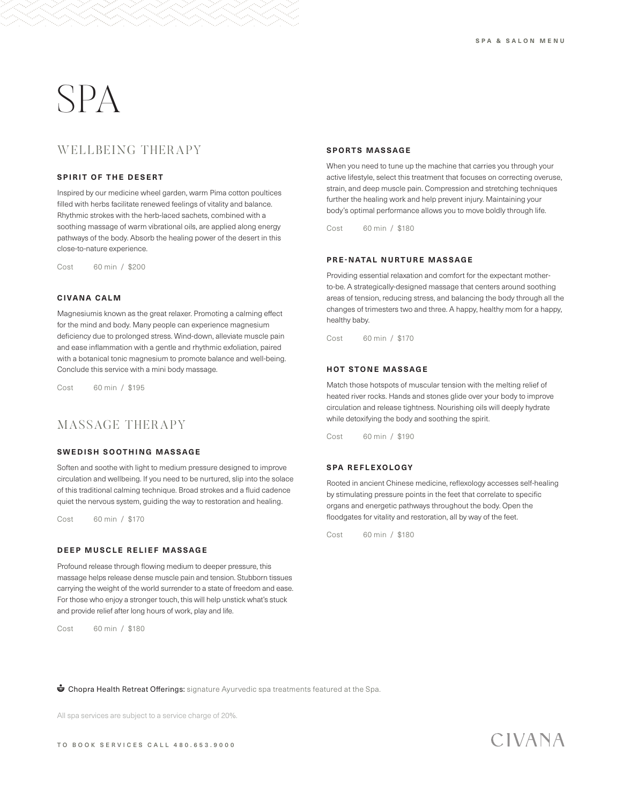# SPA

# WELLBEING THERAPY

#### **SPIRIT OF THE DESERT**

Inspired by our medicine wheel garden, warm Pima cotton poultices filled with herbs facilitate renewed feelings of vitality and balance. Rhythmic strokes with the herb-laced sachets, combined with a soothing massage of warm vibrational oils, are applied along energy pathways of the body. Absorb the healing power of the desert in this close-to-nature experience.

Cost 60 min / \$200

#### **C I VA N A C A L M**

Magnesiumis known as the great relaxer. Promoting a calming effect for the mind and body. Many people can experience magnesium deficiency due to prolonged stress. Wind-down, alleviate muscle pain and ease inflammation with a gentle and rhythmic exfoliation, paired with a botanical tonic magnesium to promote balance and well-being. Conclude this service with a mini body massage.

Cost 60 min / \$195

# MASSAGE THERAPY

#### **SWEDISH SOOTHING MASSAGE**

Soften and soothe with light to medium pressure designed to improve circulation and wellbeing. If you need to be nurtured, slip into the solace of this traditional calming technique. Broad strokes and a fluid cadence quiet the nervous system, guiding the way to restoration and healing.

Cost 60 min / \$170

#### **DEEP MUSCLE RELIEF MASSAGE**

Profound release through flowing medium to deeper pressure, this massage helps release dense muscle pain and tension. Stubborn tissues carrying the weight of the world surrender to a state of freedom and ease. For those who enjoy a stronger touch, this will help unstick what's stuck and provide relief after long hours of work, play and life.

Cost 60 min / \$180

#### **SPORTS MASSAGE**

When you need to tune up the machine that carries you through your active lifestyle, select this treatment that focuses on correcting overuse, strain, and deep muscle pain. Compression and stretching techniques further the healing work and help prevent injury. Maintaining your body's optimal performance allows you to move boldly through life.

Cost 60 min / \$180

#### **PRE-NATAL NURTURE MASSAGE**

Providing essential relaxation and comfort for the expectant motherto-be. A strategically-designed massage that centers around soothing areas of tension, reducing stress, and balancing the body through all the changes of trimesters two and three. A happy, healthy mom for a happy, healthy baby.

Cost 60 min / \$170

#### **HOT STONE MASSAGE**

Match those hotspots of muscular tension with the melting relief of heated river rocks. Hands and stones glide over your body to improve circulation and release tightness. Nourishing oils will deeply hydrate while detoxifying the body and soothing the spirit.

Cost 60 min / \$190

#### **SPA REFLEXOLOGY**

Rooted in ancient Chinese medicine, reflexology accesses self-healing by stimulating pressure points in the feet that correlate to specific organs and energetic pathways throughout the body. Open the floodgates for vitality and restoration, all by way of the feet.

Cost 60 min / \$180

**The Chopra Health Retreat Offerings:** signature Ayurvedic spa treatments featured at the Spa.

All spa services are subject to a service charge of 20%.

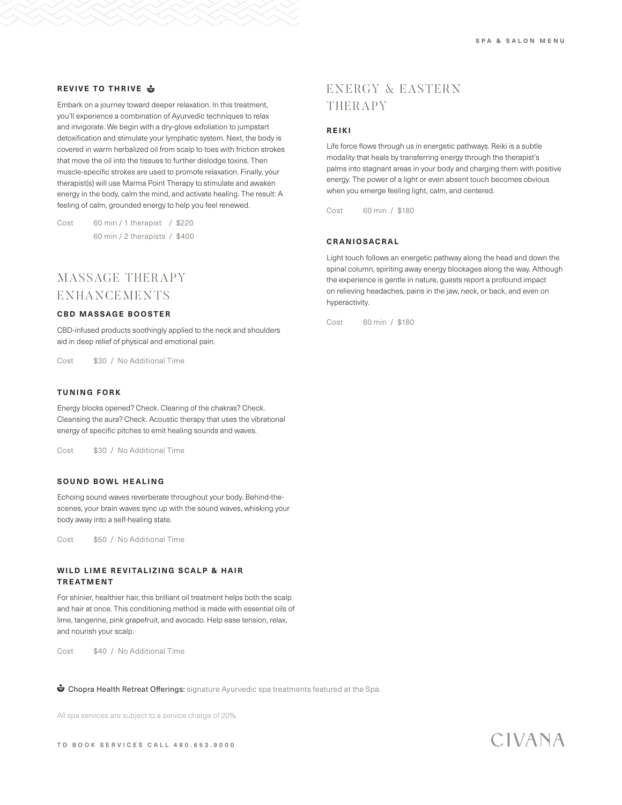#### **REVIVE TO THRIVE**

Embark on a journey toward deeper relaxation. In this treatment, you'll experience a combination of Ayurvedic techniques to relax and invigorate. We begin with a dry-glove exfoliation to jumpstart detoxification and stimulate your lymphatic system. Next, the body is covered in warm herbalized oil from scalp to toes with friction strokes that move the oil into the tissues to further dislodge toxins. Then muscle-specific strokes are used to promote relaxation. Finally, your therapist(s) will use Marma Point Therapy to stimulate and awaken energy in the body, calm the mind, and activate healing. The result: A feeling of calm, grounded energy to help you feel renewed.

Cost 60 min / 1 therapist / \$220 60 min / 2 therapists / \$400

# MASSAGE THERAPY ENHANCEMENTS

#### **CBD MASSAGE BOOSTER**

CBD-infused products soothingly applied to the neck and shoulders aid in deep relief of physical and emotional pain.

Cost \$30 / No Additional Time

#### **TUNING FORK**

Energy blocks opened? Check. Clearing of the chakras? Check. Cleansing the aura? Check. Acoustic therapy that uses the vibrational energy of specific pitches to emit healing sounds and waves.

Cost \$30 / No Additional Time

#### **SOUND BOWL HEALING**

Echoing sound waves reverberate throughout your body. Behind-thescenes, your brain waves sync up with the sound waves, whisking your body away into a self-healing state.

Cost \$50 / No Additional Time

#### WILD LIME REVITALIZING SCALP & HAIR **TREATMENT**

For shinier, healthier hair, this brilliant oil treatment helps both the scalp and hair at once. This conditioning method is made with essential oils of lime, tangerine, pink grapefruit, and avocado. Help ease tension, relax, and nourish your scalp.

Cost \$40 / No Additional Time

**The Chopra Health Retreat Offerings:** signature Ayurvedic spa treatments featured at the Spa.

All spa services are subject to a service charge of 20%.

# ENERGY & EASTERN THERAPY

#### **REIKI**

Life force flows through us in energetic pathways. Reiki is a subtle modality that heals by transferring energy through the therapist's palms into stagnant areas in your body and charging them with positive energy. The power of a light or even absent touch becomes obvious when you emerge feeling light, calm, and centered.

Cost 60 min / \$180

#### **C R A N I O S A C R A L**

Light touch follows an energetic pathway along the head and down the spinal column, spiriting away energy blockages along the way. Although the experience is gentle in nature, guests report a profound impact on relieving headaches, pains in the jaw, neck, or back, and even on hyperactivity.

Cost 60 min / \$180

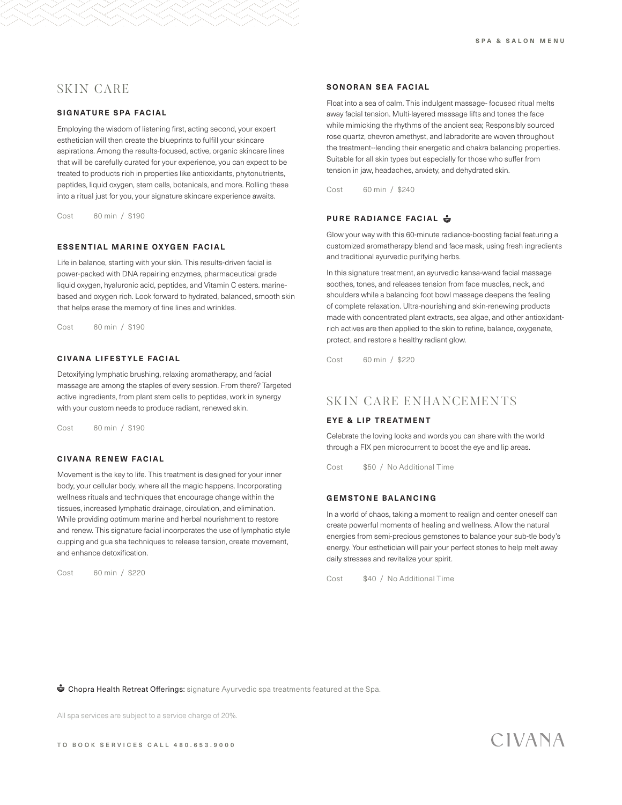# SKIN CARE

#### **SIGNATURE SPA FACIAL**

Employing the wisdom of listening first, acting second, your expert esthetician will then create the blueprints to fulfill your skincare aspirations. Among the results-focused, active, organic skincare lines that will be carefully curated for your experience, you can expect to be treated to products rich in properties like antioxidants, phytonutrients, peptides, liquid oxygen, stem cells, botanicals, and more. Rolling these into a ritual just for you, your signature skincare experience awaits.

Cost 60 min / \$190

#### **ESSENTIAL MARINE OXYGEN FACIAL**

Life in balance, starting with your skin. This results-driven facial is power-packed with DNA repairing enzymes, pharmaceutical grade liquid oxygen, hyaluronic acid, peptides, and Vitamin C esters. marinebased and oxygen rich. Look forward to hydrated, balanced, smooth skin that helps erase the memory of fine lines and wrinkles.

Cost 60 min / \$190

#### **CIVANA LIFESTYLE FACIAL**

Detoxifying lymphatic brushing, relaxing aromatherapy, and facial massage are among the staples of every session. From there? Targeted active ingredients, from plant stem cells to peptides, work in synergy with your custom needs to produce radiant, renewed skin.

Cost 60 min / \$190

#### **CIVANA RENEW FACIAL**

Movement is the key to life. This treatment is designed for your inner body, your cellular body, where all the magic happens. Incorporating wellness rituals and techniques that encourage change within the tissues, increased lymphatic drainage, circulation, and elimination. While providing optimum marine and herbal nourishment to restore and renew. This signature facial incorporates the use of lymphatic style cupping and gua sha techniques to release tension, create movement, and enhance detoxification.

Cost 60 min / \$220

#### **SONORAN SEA FACIAL**

Float into a sea of calm. This indulgent massage- focused ritual melts away facial tension. Multi-layered massage lifts and tones the face while mimicking the rhythms of the ancient sea; Responsibly sourced rose quartz, chevron amethyst, and labradorite are woven throughout the treatment--lending their energetic and chakra balancing properties. Suitable for all skin types but especially for those who suffer from tension in jaw, headaches, anxiety, and dehydrated skin.

Cost 60 min / \$240

#### **PURE RADIANCE FACIAL**

Glow your way with this 60-minute radiance-boosting facial featuring a customized aromatherapy blend and face mask, using fresh ingredients and traditional ayurvedic purifying herbs.

In this signature treatment, an ayurvedic kansa-wand facial massage soothes, tones, and releases tension from face muscles, neck, and shoulders while a balancing foot bowl massage deepens the feeling of complete relaxation. Ultra-nourishing and skin-renewing products made with concentrated plant extracts, sea algae, and other antioxidantrich actives are then applied to the skin to refine, balance, oxygenate, protect, and restore a healthy radiant glow.

Cost 60 min / \$220

# SKIN CARE ENHANCEMENTS

#### **EYE & LIP TREATMENT**

Celebrate the loving looks and words you can share with the world through a FIX pen microcurrent to boost the eye and lip areas.

Cost \$50 / No Additional Time

#### **GEMSTONE BALANCING**

In a world of chaos, taking a moment to realign and center oneself can create powerful moments of healing and wellness. Allow the natural energies from semi-precious gemstones to balance your sub-tle body's energy. Your esthetician will pair your perfect stones to help melt away daily stresses and revitalize your spirit.

Cost \$40 / No Additional Time

**The Chopra Health Retreat Offerings:** signature Ayurvedic spa treatments featured at the Spa.

All spa services are subject to a service charge of 20%.